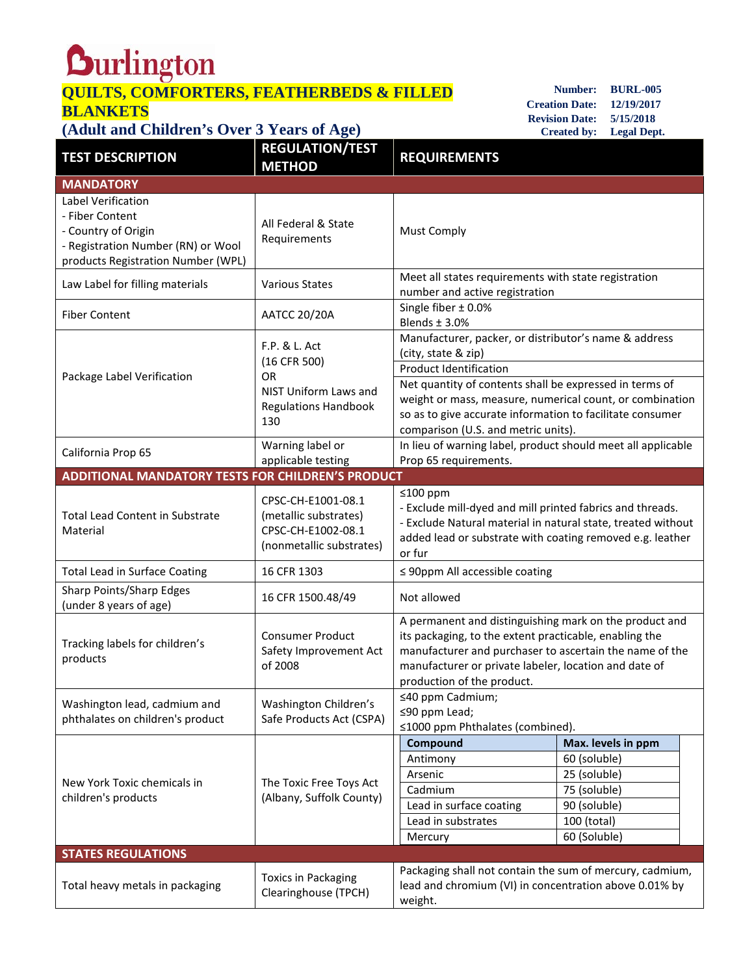## **Quilington**<br> **QUILTS, COMFORTERS, FEATHERBEDS & FILLED BLANKETS**

**Number: BURL-005 Creation Date: 12/19/2017 Revision Date: 5/15/2018 Created by: Legal Dept.**

## **(Adult and Children's Over 3 Years of Age)**

| <b>TEST DESCRIPTION</b>                                                                                                                  | <b>REGULATION/TEST</b><br><b>METHOD</b>                                                                   | <b>REQUIREMENTS</b>                                                                                                                                                                                                                                                                                                                      |                                                                             |  |
|------------------------------------------------------------------------------------------------------------------------------------------|-----------------------------------------------------------------------------------------------------------|------------------------------------------------------------------------------------------------------------------------------------------------------------------------------------------------------------------------------------------------------------------------------------------------------------------------------------------|-----------------------------------------------------------------------------|--|
| <b>MANDATORY</b>                                                                                                                         |                                                                                                           |                                                                                                                                                                                                                                                                                                                                          |                                                                             |  |
| Label Verification<br>- Fiber Content<br>- Country of Origin<br>- Registration Number (RN) or Wool<br>products Registration Number (WPL) | All Federal & State<br>Requirements                                                                       | <b>Must Comply</b>                                                                                                                                                                                                                                                                                                                       |                                                                             |  |
| Law Label for filling materials                                                                                                          | <b>Various States</b>                                                                                     | Meet all states requirements with state registration<br>number and active registration                                                                                                                                                                                                                                                   |                                                                             |  |
| <b>Fiber Content</b>                                                                                                                     | <b>AATCC 20/20A</b>                                                                                       | Single fiber ± 0.0%<br>Blends $±$ 3.0%                                                                                                                                                                                                                                                                                                   |                                                                             |  |
| Package Label Verification                                                                                                               | F.P. & L. Act<br>(16 CFR 500)<br><b>OR</b><br>NIST Uniform Laws and<br><b>Regulations Handbook</b><br>130 | Manufacturer, packer, or distributor's name & address<br>(city, state & zip)<br><b>Product Identification</b><br>Net quantity of contents shall be expressed in terms of<br>weight or mass, measure, numerical count, or combination<br>so as to give accurate information to facilitate consumer<br>comparison (U.S. and metric units). |                                                                             |  |
| California Prop 65                                                                                                                       | Warning label or<br>applicable testing                                                                    | In lieu of warning label, product should meet all applicable<br>Prop 65 requirements.                                                                                                                                                                                                                                                    |                                                                             |  |
| <b>ADDITIONAL MANDATORY TESTS FOR CHILDREN'S PRODUCT</b>                                                                                 |                                                                                                           |                                                                                                                                                                                                                                                                                                                                          |                                                                             |  |
| Total Lead Content in Substrate<br>Material                                                                                              | CPSC-CH-E1001-08.1<br>(metallic substrates)<br>CPSC-CH-E1002-08.1<br>(nonmetallic substrates)             | ≤100 ppm<br>- Exclude mill-dyed and mill printed fabrics and threads.<br>- Exclude Natural material in natural state, treated without<br>added lead or substrate with coating removed e.g. leather<br>or fur                                                                                                                             |                                                                             |  |
| <b>Total Lead in Surface Coating</b>                                                                                                     | 16 CFR 1303                                                                                               | $\leq$ 90ppm All accessible coating                                                                                                                                                                                                                                                                                                      |                                                                             |  |
| Sharp Points/Sharp Edges<br>(under 8 years of age)                                                                                       | 16 CFR 1500.48/49                                                                                         | Not allowed                                                                                                                                                                                                                                                                                                                              |                                                                             |  |
| Tracking labels for children's<br>products                                                                                               | <b>Consumer Product</b><br>Safety Improvement Act<br>of 2008                                              | A permanent and distinguishing mark on the product and<br>its packaging, to the extent practicable, enabling the<br>manufacturer and purchaser to ascertain the name of the<br>manufacturer or private labeler, location and date of<br>production of the product.                                                                       |                                                                             |  |
| Washington lead, cadmium and<br>phthalates on children's product                                                                         | Washington Children's<br>Safe Products Act (CSPA)                                                         | ≤40 ppm Cadmium;<br>≤90 ppm Lead;<br>≤1000 ppm Phthalates (combined).                                                                                                                                                                                                                                                                    |                                                                             |  |
| New York Toxic chemicals in<br>children's products                                                                                       | The Toxic Free Toys Act<br>(Albany, Suffolk County)                                                       | Compound<br>Antimony                                                                                                                                                                                                                                                                                                                     | Max. levels in ppm<br>60 (soluble)                                          |  |
|                                                                                                                                          |                                                                                                           | Arsenic<br>Cadmium<br>Lead in surface coating<br>Lead in substrates<br>Mercury                                                                                                                                                                                                                                                           | 25 (soluble)<br>75 (soluble)<br>90 (soluble)<br>100 (total)<br>60 (Soluble) |  |
| <b>STATES REGULATIONS</b>                                                                                                                |                                                                                                           |                                                                                                                                                                                                                                                                                                                                          |                                                                             |  |
| Total heavy metals in packaging                                                                                                          | <b>Toxics in Packaging</b><br>Clearinghouse (TPCH)                                                        | Packaging shall not contain the sum of mercury, cadmium,<br>lead and chromium (VI) in concentration above 0.01% by<br>weight.                                                                                                                                                                                                            |                                                                             |  |